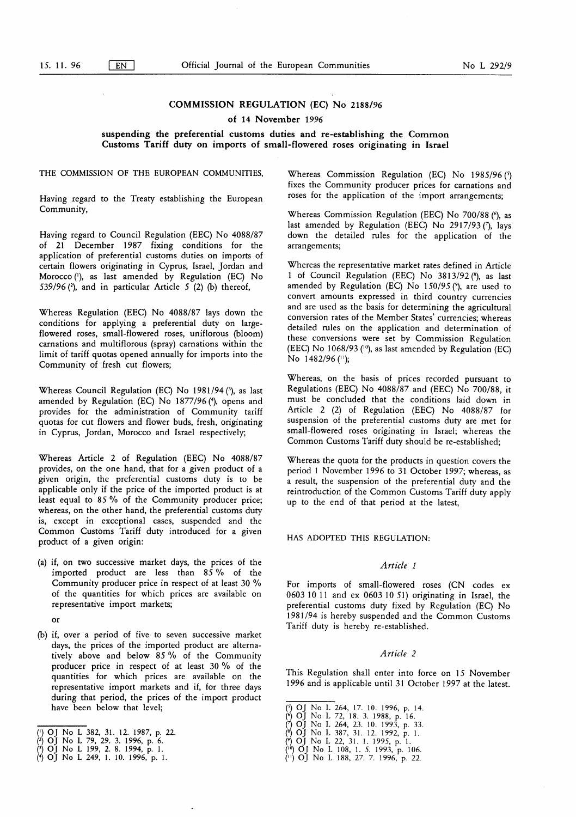# COMMISSION REGULATION (EC) No 2188/96

#### of 14 November 1996

### suspending the preferential customs duties and re-establishing the Common Customs Tariff duty on imports of small-flowered roses originating in Israel

# THE COMMISSION OF THE EUROPEAN COMMUNITIES,

Having regard to the Treaty establishing the European Community,

Having regard to Council Regulation (EEC) No 4088/87 of 21 December 1987 fixing conditions for the application of preferential customs duties on imports of certain flowers originating in Cyprus, Israel, Jordan and Morocco ('), as last amended by Regulation (EC) No 539/96 $(2)$ , and in particular Article 5 $(2)$  (b) thereof,

Whereas Regulation (EEC) No 4088/87 lays down the conditions for applying a preferential duty on largeflowered roses, small-flowered roses, uniflorous (bloom) carnations and multiflorous (spray) carnations within the limit of tariff quotas opened annually for imports into the Community of fresh cut flowers;

Whereas Council Regulation (EC) No 1981 /94 (3), as last amended by Regulation (EC) No 1877/96 (4), opens and provides for the administration of Community tariff quotas for cut flowers and flower buds, fresh, originating in Cyprus, Jordan, Morocco and Israel respectively,

Whereas Article 2 of Regulation (EEC) No 4088/87 provides, on the one hand, that for a given product of a given origin, the preferential customs duty is to be applicable only if the price of the imported product is at least equal to 85 % of the Community producer price; whereas, on the other hand, the preferential customs duty is, except in exceptional cases, suspended and the Common Customs Tariff duty introduced for a given product of a given origin:

(a) if, on two successive market days, the prices of the imported product are less than  $85\%$  of the Community producer price in respect of at least 30 % of the quantities for which prices are available on representative import markets;

or

(b) if, over a period of five to seven successive market days, the prices of the imported product are alternatively above and below 85 % of the Community producer price in respect of at least 30 % of the quantities for which prices are available on the representative import markets and if, for three days during that period, the prices of the import product have been below that level;

- (2) OJ No L 79, 29. 3. 1996, p. 6.
- (?) OJ No L 199, 2. 8. 1994, p. 1.
- (\*) OJ No L 249, 1. 10. 1996, p. 1.

Whereas Commission Regulation (EC) No  $1985/96$  ( $\frac{5}{10}$ ) fixes the Community producer prices for carnations and roses for the application of the import arrangements;

Whereas Commission Regulation (EEC) No 700/88 (6), as last amended by Regulation (EEC) No  $2917/93$  (7), lays down the detailed rules for the application of the arrangements;

Whereas the representative market rates defined in Article 1 of Council Regulation (EEC) No 3813/92 (8), as last amended by Regulation (EC) No  $150/95$  ( $\degree$ ), are used to convert amounts expressed in third country currencies and are used as the basis for determining the agricultural conversion rates of the Member States' currencies; whereas detailed rules on the application and determination of these conversions were set by Commission Regulation (EEC) No 1068/93 ( $\frac{10}{9}$ ), as last amended by Regulation (EC) No 1482/96 (11);

Whereas, on the basis of prices recorded pursuant to Regulations (EEC) No 4088/87 and (EEC) No 700/88 , it must be concluded that the conditions laid down in Article 2 (2) of Regulation (EEC) No 4088/87 for suspension of the preferential customs duty are met for small-flowered roses originating in Israel; whereas the Common Customs Tariff duty should be re-established;

Whereas the quota for the products in question covers the period <sup>1</sup> November 1996 to 31 October 1997; whereas, as a result, the suspension of the preferential duty and the reintroduction of the Common Customs Tariff duty apply up to the end of that period at the latest,

#### HAS ADOPTED THIS REGULATION:

## Article <sup>1</sup>

For imports of small-flowered roses (CN codes ex 0603 10 11 and ex 0603 10 51 ) originating in Israel, the preferential customs duty fixed by Regulation (EC) No 1981 /94 is hereby suspended and the Common Customs Tariff duty is hereby re-established.

#### Article 2

This Regulation shall enter into force on 15 November 1996 and is applicable until 31 October 1997 at the latest.

- (<sup>3</sup>) OJ No L 264, 17. 10. 1996, p. 14.
- 
- (\*) OJ No L 72, 18. 3. 1988, p. 16.<br>(\*) OJ No L 264, 23. 10. 1993, p. 33.<br>(\*) OJ No L 22, 31. 1. 1995, p. 1.<br>(\*) OJ No L 108, 1. 5. 1993, p. 106.
- 
- 
- (") OJ No L 188 , 27. 7. 1996, p. 22.

<sup>(&#</sup>x27;) OJ No L 382, 31 . 12. 1987, p. 22.